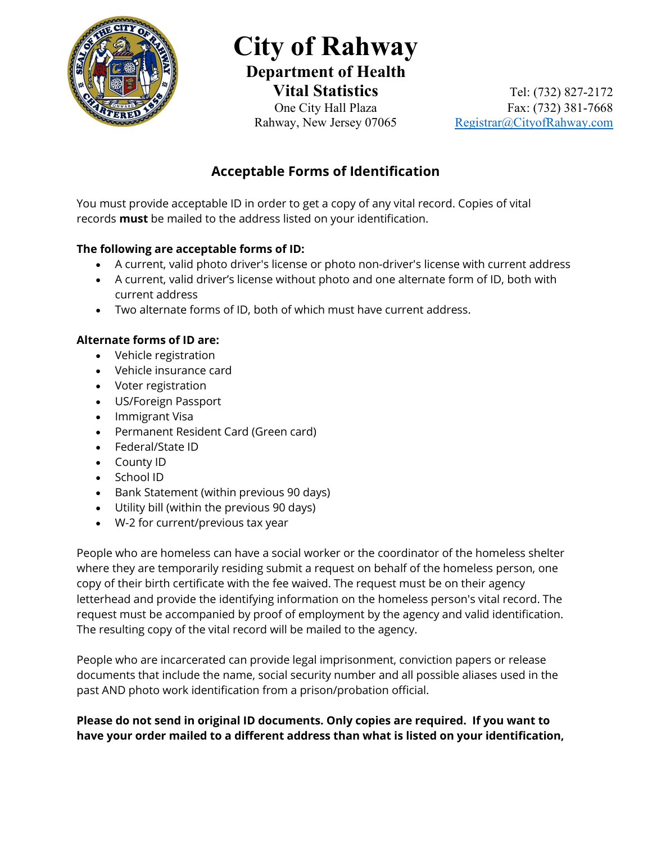

# **City of Rahway Department of Health**

**Vital Statistics** Tel: (732) 827-2172One City Hall Plaza Fax: (732) 381-7668 Rahway, New Jersey 07065 Registrar@CityofRahway.com

## **Acceptable Forms of Identification**

You must provide acceptable ID in order to get a copy of any vital record. Copies of vital records **must** be mailed to the address listed on your identification.

## **The following are acceptable forms of ID:**

- A current, valid photo driver's license or photo non-driver's license with current address
- A current, valid driver's license without photo and one alternate form of ID, both with current address
- Two alternate forms of ID, both of which must have current address.

### **Alternate forms of ID are:**

- Vehicle registration
- Vehicle insurance card
- Voter registration
- US/Foreign Passport
- Immigrant Visa
- Permanent Resident Card (Green card)
- Federal/State ID
- County ID
- School ID
- Bank Statement (within previous 90 days)
- Utility bill (within the previous 90 days)
- W-2 for current/previous tax year

People who are homeless can have a social worker or the coordinator of the homeless shelter where they are temporarily residing submit a request on behalf of the homeless person, one copy of their birth certificate with the fee waived. The request must be on their agency letterhead and provide the identifying information on the homeless person's vital record. The request must be accompanied by proof of employment by the agency and valid identification. The resulting copy of the vital record will be mailed to the agency.

People who are incarcerated can provide legal imprisonment, conviction papers or release documents that include the name, social security number and all possible aliases used in the past AND photo work identification from a prison/probation official.

**Please do not send in original ID documents. Only copies are required. If you want to have your order mailed to a different address than what is listed on your identification,**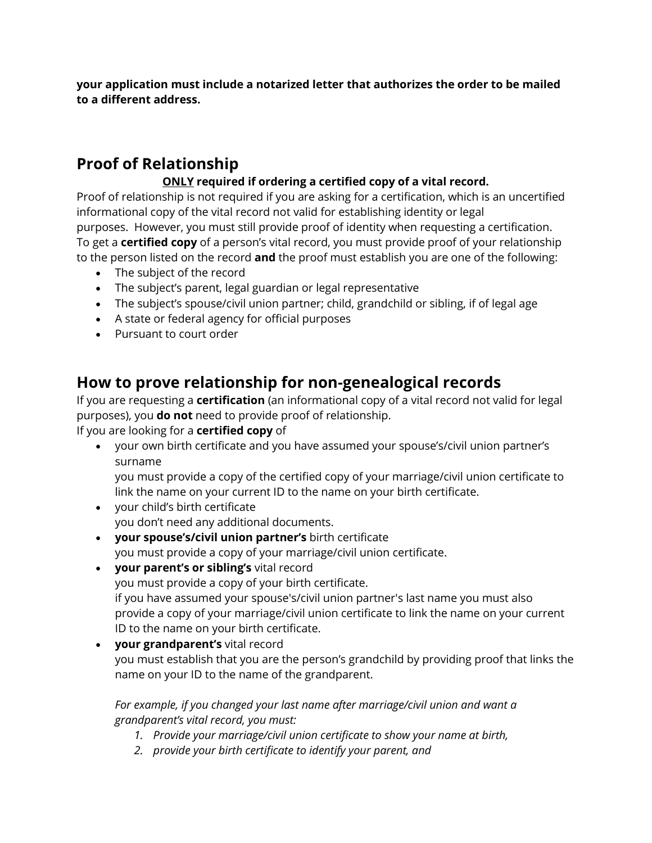**your application must include a notarized letter that authorizes the order to be mailed to a different address.**

# **Proof of Relationship**

## **ONLY required if ordering a certified copy of a vital record.**

Proof of relationship is not required if you are asking for a certification, which is an uncertified informational copy of the vital record not valid for establishing identity or legal purposes. However, you must still provide proof of identity when requesting a certification. To get a **certified copy** of a person's vital record, you must provide proof of your relationship to the person listed on the record **and** the proof must establish you are one of the following:

- The subject of the record
- The subject's parent, legal guardian or legal representative
- The subject's spouse/civil union partner; child, grandchild or sibling, if of legal age
- A state or federal agency for official purposes
- Pursuant to court order

## **How to prove relationship for non-genealogical records**

If you are requesting a **certification** (an informational copy of a vital record not valid for legal purposes), you **do not** need to provide proof of relationship.

If you are looking for a **certified copy** of

• your own birth certificate and you have assumed your spouse's/civil union partner's surname

you must provide a copy of the certified copy of your marriage/civil union certificate to link the name on your current ID to the name on your birth certificate.

- your child's birth certificate you don't need any additional documents.
- **your spouse's/civil union partner's** birth certificate you must provide a copy of your marriage/civil union certificate.
- **your parent's or sibling's** vital record you must provide a copy of your birth certificate. if you have assumed your spouse's/civil union partner's last name you must also provide a copy of your marriage/civil union certificate to link the name on your current ID to the name on your birth certificate.
- **your grandparent's** vital record you must establish that you are the person's grandchild by providing proof that links the name on your ID to the name of the grandparent.

### *For example, if you changed your last name after marriage/civil union and want a grandparent's vital record, you must:*

- *1. Provide your marriage/civil union certificate to show your name at birth,*
- *2. provide your birth certificate to identify your parent, and*